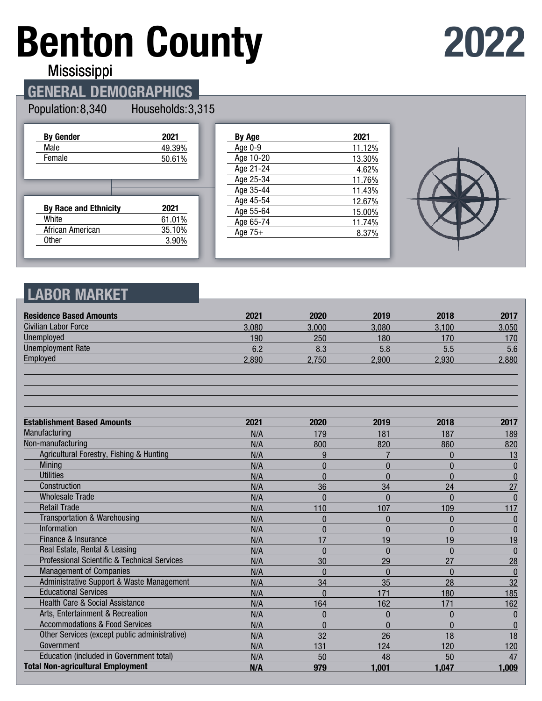# **Benton County**

**2022**

Mississippi

# **GENERAL DEMOGRAPHICS**

#### Population: 8,340

Households: 3,315

| <b>By Gender</b>             | 2021   |
|------------------------------|--------|
| Male                         | 49.39% |
| Female                       | 50.61% |
|                              |        |
|                              |        |
|                              |        |
| <b>By Race and Ethnicity</b> | 2021   |
| White                        | 61.01% |
| African American             | 35.10% |

| By Age    | 2021   |
|-----------|--------|
| Age 0-9   | 11.12% |
| Age 10-20 | 13.30% |
| Age 21-24 | 4.62%  |
| Age 25-34 | 11.76% |
| Age 35-44 | 11.43% |
| Age 45-54 | 12.67% |
| Age 55-64 | 15.00% |
| Age 65-74 | 11.74% |
| Age $75+$ | 8.37%  |
|           |        |



### **LABOR MARKET**

| <b>Residence Based Amounts</b>                | 2021  | 2020     | 2019     | 2018         | 2017             |
|-----------------------------------------------|-------|----------|----------|--------------|------------------|
| <b>Civilian Labor Force</b>                   | 3,080 | 3,000    | 3,080    | 3,100        | 3,050            |
| Unemployed                                    | 190   | 250      | 180      | 170          | 170              |
| <b>Unemployment Rate</b>                      | 6.2   | 8.3      | 5.8      | 5.5          | 5.6              |
| Employed                                      | 2,890 | 2,750    | 2,900    | 2,930        | 2,880            |
|                                               |       |          |          |              |                  |
| <b>Establishment Based Amounts</b>            | 2021  | 2020     | 2019     | 2018         | 2017             |
| Manufacturing                                 | N/A   | 179      | 181      | 187          | 189              |
| Non-manufacturing                             | N/A   | 800      | 820      | 860          | 820              |
| Agricultural Forestry, Fishing & Hunting      | N/A   | 9        |          | $\mathbf{0}$ | 13               |
| <b>Mining</b>                                 | N/A   | $\Omega$ | $\Omega$ | $\Omega$     | $\bf{0}$         |
| <b>Utilities</b>                              | N/A   | $\Omega$ | $\Omega$ | $\Omega$     | $\bf{0}$         |
| Construction                                  | N/A   | 36       | 34       | 24           | 27               |
| <b>Wholesale Trade</b>                        | N/A   | $\Omega$ | $\Omega$ | $\Omega$     | $\Omega$         |
| <b>Retail Trade</b>                           | N/A   | 110      | 107      | 109          | 117              |
| <b>Transportation &amp; Warehousing</b>       | N/A   | $\Omega$ | $\Omega$ | $\Omega$     | $\boldsymbol{0}$ |
| <b>Information</b>                            | N/A   | $\Omega$ | $\Omega$ | $\Omega$     | $\mathbf{0}$     |
| Finance & Insurance                           | N/A   | 17       | 19       | 19           | <u>19</u>        |
| Real Estate, Rental & Leasing                 | N/A   | $\theta$ | $\Omega$ | $\theta$     | $\mathbf{0}$     |
| Professional Scientific & Technical Services  | N/A   | 30       | 29       | 27           | 28               |
| <b>Management of Companies</b>                | N/A   | $\Omega$ | $\Omega$ | $\Omega$     | $\theta$         |
| Administrative Support & Waste Management     | N/A   | 34       | 35       | 28           | 32               |
| <b>Educational Services</b>                   | N/A   | $\Omega$ | 171      | 180          | 185              |
| Health Care & Social Assistance               | N/A   | 164      | 162      | 171          | 162              |
| Arts, Entertainment & Recreation              | N/A   | $\Omega$ | $\Omega$ | $\Omega$     | $\mathbf{0}$     |
| <b>Accommodations &amp; Food Services</b>     | N/A   | $\Omega$ | $\Omega$ | $\mathbf{0}$ | $\bf{0}$         |
| Other Services (except public administrative) | N/A   | 32       | 26       | 18           | 18               |
| Government                                    | N/A   | 131      | 124      | 120          | 120              |
| Education (included in Government total)      | N/A   | 50       | 48       | 50           | 47               |
| <b>Total Non-agricultural Employment</b>      | N/A   | 979      | 1,001    | 1,047        | 1,009            |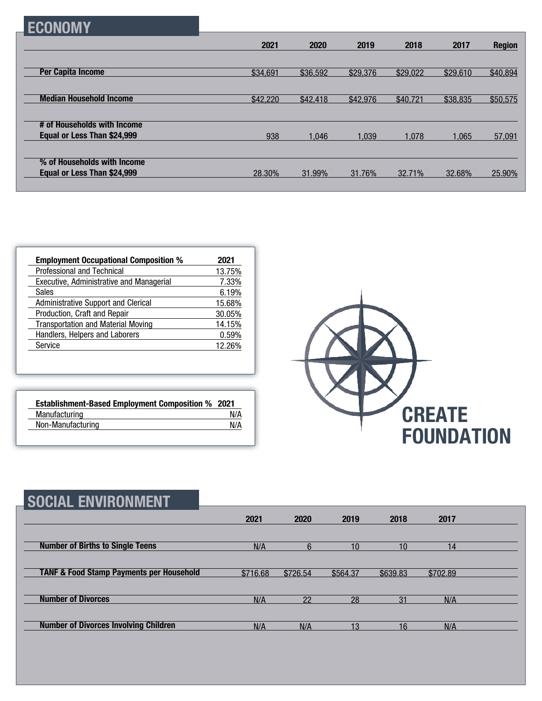## **ECONOMY**

|                                                            | 2021     | 2020     | 2019     | 2018     | 2017     | <b>Region</b> |
|------------------------------------------------------------|----------|----------|----------|----------|----------|---------------|
|                                                            |          |          |          |          |          |               |
| <b>Per Capita Income</b>                                   | \$34,691 | \$36,592 | \$29,376 | \$29,022 | \$29,610 | \$40,894      |
|                                                            |          |          |          |          |          |               |
| <b>Median Household Income</b>                             | \$42,220 | \$42,418 | \$42,976 | \$40,721 | \$38,835 | \$50,575      |
|                                                            |          |          |          |          |          |               |
| # of Households with Income                                |          |          |          |          |          |               |
| Equal or Less Than \$24,999                                | 938      | 1.046    | 1.039    | 1,078    | 1.065    | 57,091        |
|                                                            |          |          |          |          |          |               |
| % of Households with Income<br>Equal or Less Than \$24,999 |          |          |          |          |          |               |
|                                                            | 28.30%   | 31.99%   | 31.76%   | 32.71%   | 32.68%   | 25.90%        |

| <b>Employment Occupational Composition %</b> | 2021   |
|----------------------------------------------|--------|
| Professional and Technical                   | 13.75% |
| Executive, Administrative and Managerial     | 7.33%  |
| Sales                                        | 6.19%  |
| Administrative Support and Clerical          | 15.68% |
| Production, Craft and Repair                 | 30.05% |
| <b>Transportation and Material Moving</b>    | 14.15% |
| Handlers, Helpers and Laborers               | 0.59%  |
| Service                                      | 12.26% |

| <b>Establishment-Based Employment Composition % 2021</b> |     |
|----------------------------------------------------------|-----|
| Manufacturing                                            | N/A |
| Non-Manufacturing                                        | N/A |



| SOCIAL ENVIRONMENT                                  |          |          |          |          |          |  |
|-----------------------------------------------------|----------|----------|----------|----------|----------|--|
|                                                     | 2021     | 2020     | 2019     | 2018     | 2017     |  |
| <b>Number of Births to Single Teens</b>             | N/A      | հ        | 10       | 10       | 14       |  |
| <b>TANF &amp; Food Stamp Payments per Household</b> | \$716.68 | \$726.54 | \$564.37 | \$639.83 | \$702.89 |  |
| <b>Number of Divorces</b>                           | N/A      | 22       | 28       | 31       | N/A      |  |
| <b>Number of Divorces Involving Children</b>        | N/A      | N/A      | 13       | 16       | N/A      |  |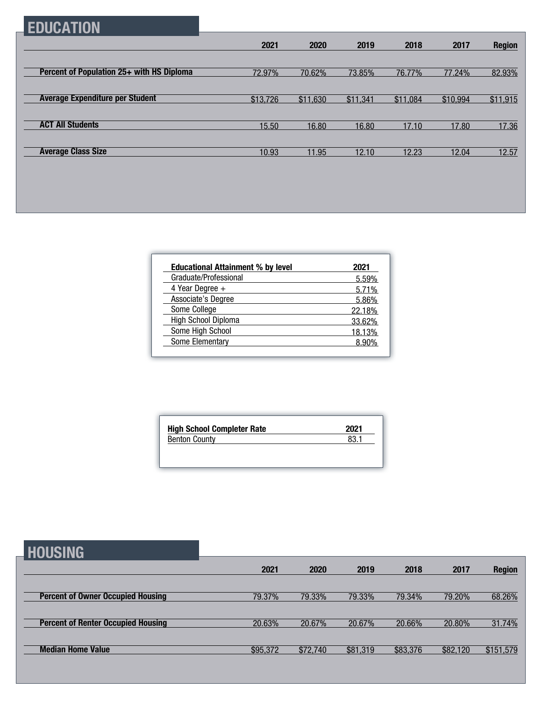# **EDUCATION**

|                                           | 2021     | 2020     | 2019     | 2018     | 2017     | <b>Region</b> |
|-------------------------------------------|----------|----------|----------|----------|----------|---------------|
|                                           |          |          |          |          |          |               |
| Percent of Population 25+ with HS Diploma | 72.97%   | 70.62%   | 73.85%   | 76.77%   | 77.24%   | 82.93%        |
|                                           |          |          |          |          |          |               |
| <b>Average Expenditure per Student</b>    | \$13,726 | \$11,630 | \$11,341 | \$11,084 | \$10,994 | \$11,915      |
|                                           |          |          |          |          |          |               |
| <b>ACT All Students</b>                   | 15.50    | 16.80    | 16.80    | 17.10    | 17.80    | 17.36         |
|                                           |          |          |          |          |          |               |
| <b>Average Class Size</b>                 | 10.93    | 11.95    | 12.10    | 12.23    | 12.04    | 12.57         |

| <b>Educational Attainment % by level</b> | 2021   |
|------------------------------------------|--------|
| Graduate/Professional                    | 5.59%  |
| 4 Year Degree $+$                        | 5.71%  |
| Associate's Degree                       | 5.86%  |
| Some College                             | 22.18% |
| <b>High School Diploma</b>               | 33.62% |
| Some High School                         | 18.13% |
| Some Elementary                          | 8.90%  |

| 2021 |
|------|
| 83.1 |
|      |

| <b>HOUSING</b>                            |          |          |          |          |          |               |
|-------------------------------------------|----------|----------|----------|----------|----------|---------------|
|                                           | 2021     | 2020     | 2019     | 2018     | 2017     | <b>Region</b> |
| <b>Percent of Owner Occupied Housing</b>  | 79.37%   | 79.33%   | 79.33%   | 79.34%   | 79.20%   | 68.26%        |
| <b>Percent of Renter Occupied Housing</b> | 20.63%   | 20.67%   | 20.67%   | 20.66%   | 20.80%   | 31.74%        |
| <b>Median Home Value</b>                  | \$95,372 | \$72,740 | \$81,319 | \$83,376 | \$82,120 | \$151,579     |